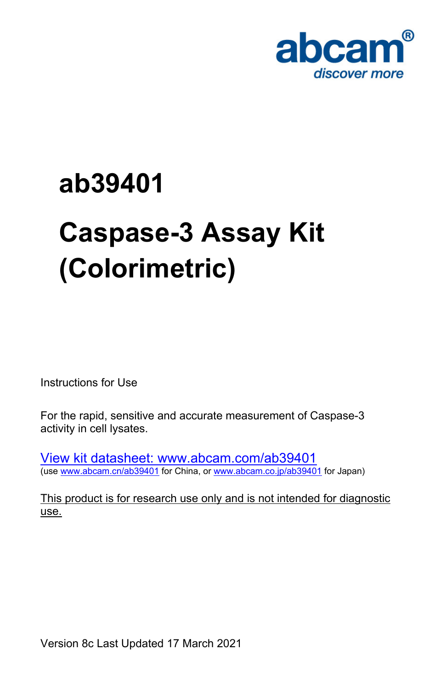# ab39401 Caspase-3 Assay Kit (Colorimetric)

Instructions for Use

For the rapid, sensitive and accurate measurement of Caspase-3 activity in cell lysates.

[View](https://www.abcam.com/ab39401) [kit](https://www.abcam.com/ab39401) [datasheet:](https://www.abcam.com/ab39401) [www.abcam.com/ab39401](https://www.abcam.com/ab39401) (use [www.abcam.cn/ab39401](https://www.abcam.cn/ab39401) for China, or [www.abcam.co.jp/ab39401](https://www.abcam.co.jp/ab39401) for Japan)

This product is for research use only and is not intended for diagnostic use.

Version 8c Last Updated 17 March 2021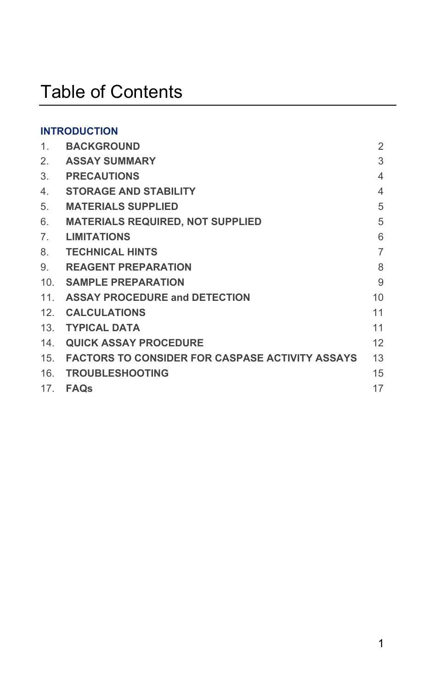## Table of Contents

#### **INTRODUCTION**

| 1 <sub>1</sub> | <b>BACKGROUND</b>                               | 2              |
|----------------|-------------------------------------------------|----------------|
| 2.             | ASSAY SUMMARY                                   | 3              |
| 3.             | <b>PRECAUTIONS</b>                              | $\overline{4}$ |
| 4.             | STORAGE AND STABILITY                           | $\overline{4}$ |
| 5.             | <b>MATERIALS SUPPLIED</b>                       | 5              |
| 6.             | MATERIALS REQUIRED, NOT SUPPLIED                | 5              |
| 7 <sub>1</sub> | <b>LIMITATIONS</b>                              | 6              |
| 8.             | <b>TECHNICAL HINTS</b>                          | $\overline{7}$ |
| 9.             | <b>REAGENT PREPARATION</b>                      | 8              |
| 10.            | SAMPLE PREPARATION                              | 9              |
| 11.            | ASSAY PROCEDURE and DETECTION                   | 10             |
| 12.            | <b>CALCULATIONS</b>                             | 11             |
|                | 13. TYPICAL DATA                                | 11             |
| 14.            | <b>QUICK ASSAY PROCEDURE</b>                    | 12             |
| 15.            | FACTORS TO CONSIDER FOR CASPASE ACTIVITY ASSAYS | 13             |
| 16.            | <b>TROUBLESHOOTING</b>                          | 15             |
| 17.            | FAQs                                            | 17             |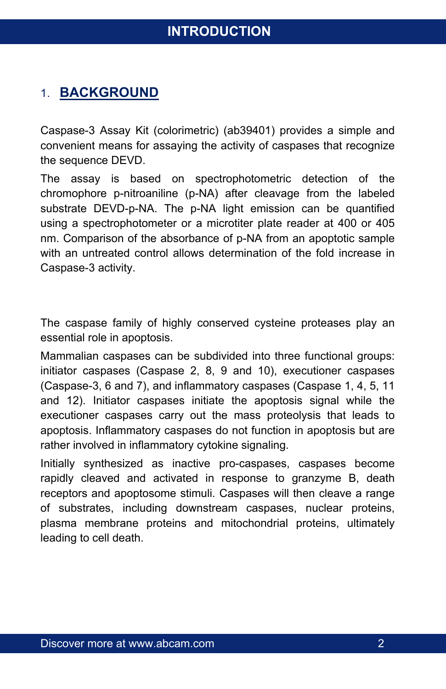## <span id="page-2-0"></span>1. **BACKGROUND**

Caspase-3 Assay Kit (colorimetric) (ab39401) provides a simple and convenient means for assaying the activity of caspases that recognize the sequence DEVD.

The assay is based on spectrophotometric detection of the chromophore p-nitroaniline (p-NA) after cleavage from the labeled substrate DEVD-p-NA. The p-NA light emission can be quantified using a spectrophotometer or a microtiter plate reader at 400 or 405 nm. Comparison of the absorbance of p-NA from an apoptotic sample with an untreated control allows determination of the fold increase in Caspase-3 activity.

The caspase family of highly conserved cysteine proteases play an essential role in apoptosis.

Mammalian caspases can be subdivided into three functional groups: initiator caspases (Caspase 2, 8, 9 and 10), executioner caspases (Caspase-3, 6 and 7), and inflammatory caspases (Caspase 1, 4, 5, 11 and 12). Initiator caspases initiate the apoptosis signal while the executioner caspases carry out the mass proteolysis that leads to apoptosis. Inflammatory caspases do not function in apoptosis but are rather involved in inflammatory cytokine signaling.

Initially synthesized as inactive pro-caspases, caspases become rapidly cleaved and activated in response to granzyme B, death receptors and apoptosome stimuli. Caspases will then cleave a range of substrates, including downstream caspases, nuclear proteins, plasma membrane proteins and mitochondrial proteins, ultimately leading to cell death.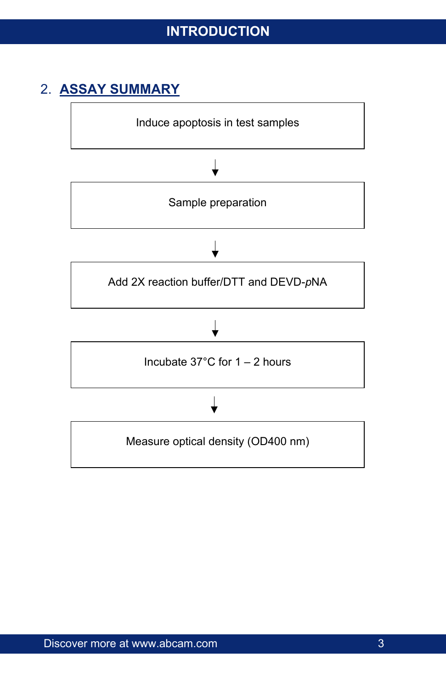## <span id="page-3-0"></span>2. **ASSAY SUMMARY**

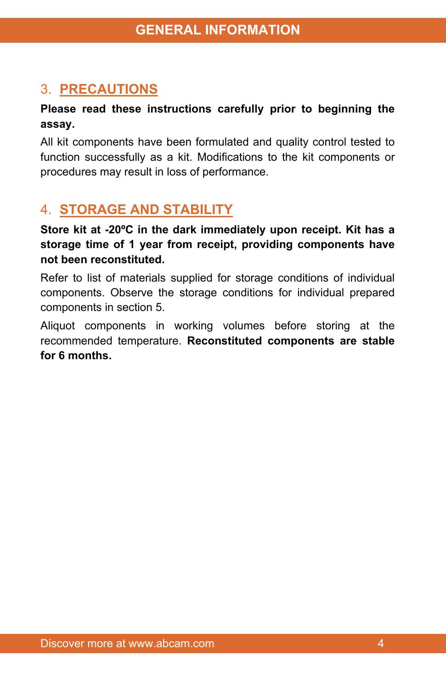## <span id="page-4-0"></span>3. **PRECAUTIONS**

#### **Please read these instructions carefully prior to beginning the assay.**

All kit components have been formulated and quality control tested to function successfully as a kit. Modifications to the kit components or procedures may result in loss of performance.

## <span id="page-4-1"></span>4. **STORAGE AND STABILITY**

**Store kit at -20ºC in the dark immediately upon receipt. Kit has a storage time of 1 year from receipt, providing components have not been reconstituted.**

Refer to list of materials supplied for storage conditions of individual components. Observe the storage conditions for individual prepared components in section 5.

Aliquot components in working volumes before storing at the recommended temperature. **Reconstituted components are stable for 6 months.**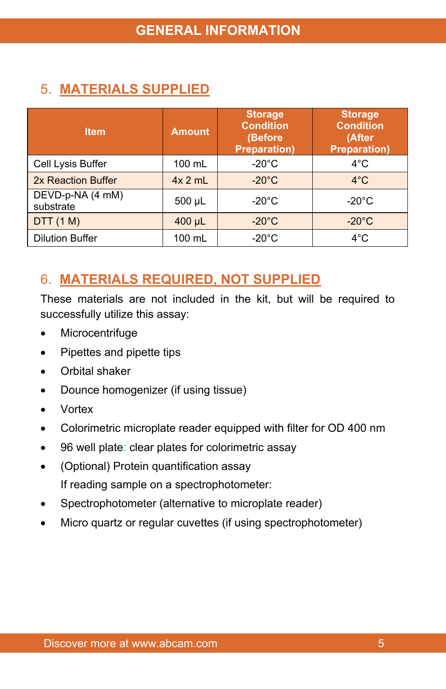## <span id="page-5-0"></span>5. **MATERIALS SUPPLIED**

| <b>Item</b>                   | <b>Amount</b>    | <b>Storage</b><br><b>Condition</b><br>(Before<br><b>Preparation)</b> | <b>Storage</b><br><b>Condition</b><br>(After<br><b>Preparation</b> ) |  |  |  |
|-------------------------------|------------------|----------------------------------------------------------------------|----------------------------------------------------------------------|--|--|--|
| Cell Lysis Buffer             | $100 \text{ mL}$ | $-20^{\circ}$ C                                                      | $4^{\circ}$ C                                                        |  |  |  |
| 2x Reaction Buffer            | $4x$ 2 mL        | $-20^{\circ}$ C                                                      | $4^{\circ}$ C                                                        |  |  |  |
| DEVD-p-NA (4 mM)<br>substrate | $500 \mu L$      | $-20^{\circ}$ C                                                      | $-20^{\circ}$ C                                                      |  |  |  |
| DTT(1 M)                      | 400 µL           | $-20^{\circ}$ C                                                      | $-20^{\circ}$ C                                                      |  |  |  |
| <b>Dilution Buffer</b>        | 100 mL           | $-20^{\circ}$ C                                                      | $4^{\circ}$ C                                                        |  |  |  |

## <span id="page-5-1"></span>6. **MATERIALS REQUIRED, NOT SUPPLIED**

These materials are not included in the kit, but will be required to successfully utilize this assay:

- Microcentrifuge
- Pipettes and pipette tips
- Orbital shaker
- Dounce homogenizer (if using tissue)
- Vortex
- Colorimetric microplate reader equipped with filter for OD 400 nm
- 96 well plate: clear plates for colorimetric assay
- (Optional) Protein quantification assay If reading sample on a spectrophotometer:
- Spectrophotometer (alternative to microplate reader)
- Micro quartz or regular cuvettes (if using spectrophotometer)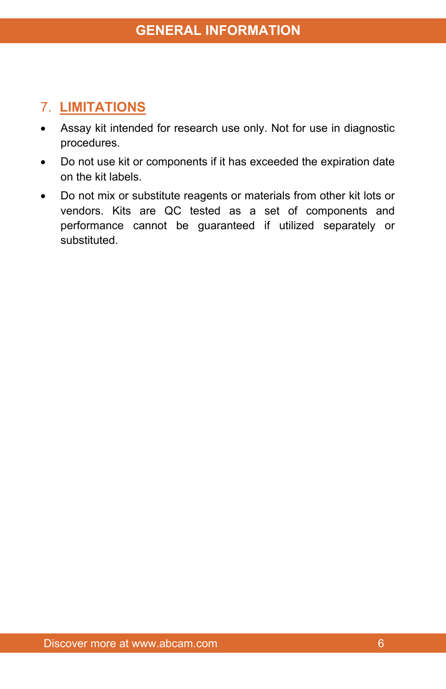## <span id="page-6-0"></span>7. **LIMITATIONS**

- Assay kit intended for research use only. Not for use in diagnostic procedures.
- Do not use kit or components if it has exceeded the expiration date on the kit labels.
- Do not mix or substitute reagents or materials from other kit lots or vendors. Kits are QC tested as a set of components and performance cannot be guaranteed if utilized separately or substituted.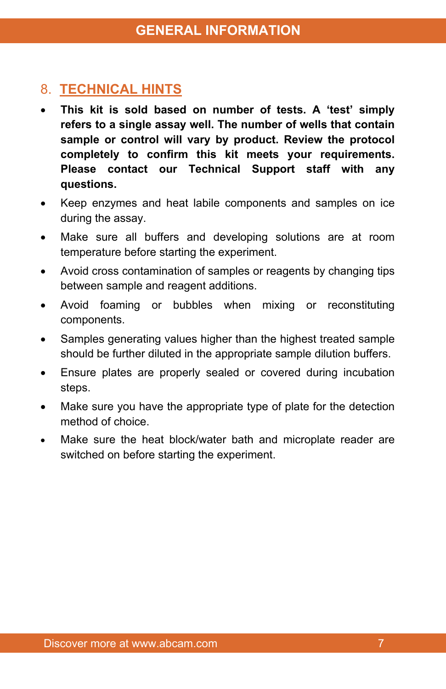## <span id="page-7-0"></span>8. **TECHNICAL HINTS**

- **This kit is sold based on number of tests. A 'test' simply refers to a single assay well. The number of wells that contain sample or control will vary by product. Review the protocol completely to confirm this kit meets your requirements. Please contact our Technical Support staff with any questions.**
- Keep enzymes and heat labile components and samples on ice during the assay.
- Make sure all buffers and developing solutions are at room temperature before starting the experiment.
- Avoid cross contamination of samples or reagents by changing tips between sample and reagent additions.
- Avoid foaming or bubbles when mixing or reconstituting components.
- Samples generating values higher than the highest treated sample should be further diluted in the appropriate sample dilution buffers.
- Ensure plates are properly sealed or covered during incubation steps.
- Make sure you have the appropriate type of plate for the detection method of choice.
- Make sure the heat block/water bath and microplate reader are switched on before starting the experiment.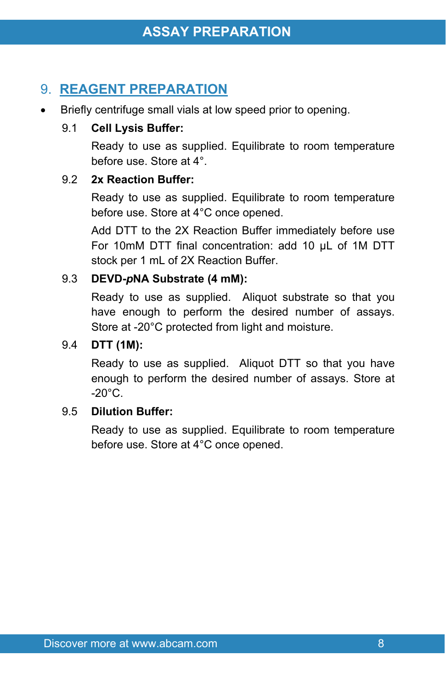## <span id="page-8-0"></span>9. **REAGENT PREPARATION**

Briefly centrifuge small vials at low speed prior to opening.

#### 9.1 **Cell Lysis Buffer:**

Ready to use as supplied. Equilibrate to room temperature before use. Store at 4°.

#### 9.2 **2x Reaction Buffer:**

Ready to use as supplied. Equilibrate to room temperature before use. Store at 4°C once opened.

Add DTT to the 2X Reaction Buffer immediately before use For 10mM DTT final concentration: add 10 µL of 1M DTT stock per 1 mL of 2X Reaction Buffer.

#### 9.3 **DEVD-***p***NA Substrate (4 mM):**

Ready to use as supplied. Aliquot substrate so that you have enough to perform the desired number of assays. Store at -20°C protected from light and moisture.

#### 9.4 **DTT (1M):**

Ready to use as supplied. Aliquot DTT so that you have enough to perform the desired number of assays. Store at  $-20^{\circ}$ C.

#### 9.5 **Dilution Buffer:**

Ready to use as supplied. Equilibrate to room temperature before use. Store at 4°C once opened.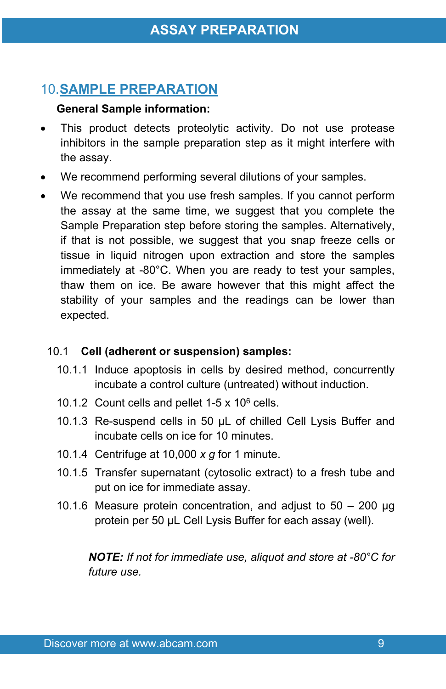## <span id="page-9-0"></span>10.**SAMPLE PREPARATION**

#### **General Sample information:**

- This product detects proteolytic activity. Do not use protease inhibitors in the sample preparation step as it might interfere with the assay.
- We recommend performing several dilutions of your samples.
- We recommend that you use fresh samples. If you cannot perform the assay at the same time, we suggest that you complete the Sample Preparation step before storing the samples. Alternatively, if that is not possible, we suggest that you snap freeze cells or tissue in liquid nitrogen upon extraction and store the samples immediately at -80°C. When you are ready to test your samples, thaw them on ice. Be aware however that this might affect the stability of your samples and the readings can be lower than expected.

#### 10.1 **Cell (adherent or suspension) samples:**

- 10.1.1 Induce apoptosis in cells by desired method, concurrently incubate a control culture (untreated) without induction.
- 10.1.2 Count cells and pellet  $1-5 \times 10^6$  cells.
- 10.1.3 Re-suspend cells in 50 µL of chilled Cell Lysis Buffer and incubate cells on ice for 10 minutes.
- 10.1.4 Centrifuge at 10,000 *x g* for 1 minute.
- 10.1.5 Transfer supernatant (cytosolic extract) to a fresh tube and put on ice for immediate assay.
- 10.1.6 Measure protein concentration, and adjust to 50 200 µg protein per 50 µL Cell Lysis Buffer for each assay (well).

*NOTE: If not for immediate use, aliquot and store at -80°C for future use.*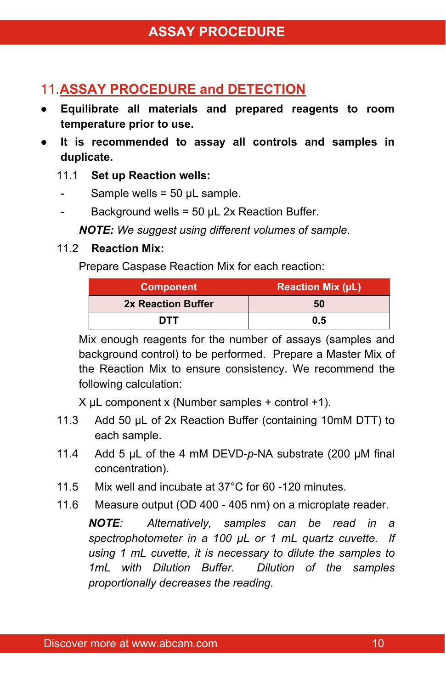## <span id="page-10-0"></span>11.**ASSAY PROCEDURE and DETECTION**

- **● Equilibrate all materials and prepared reagents to room temperature prior to use.**
- **● It is recommended to assay all controls and samples in duplicate.**

#### 11.1 **Set up Reaction wells:**

- Sample wells =  $50 \mu L$  sample.
- Background wells =  $50 \mu L$  2x Reaction Buffer.

*NOTE: We suggest using different volumes of sample.*

#### 11.2 **Reaction Mix:**

Prepare Caspase Reaction Mix for each reaction:

| <b>Component</b>   | <b>Reaction Mix (µL)</b> |
|--------------------|--------------------------|
| 2x Reaction Buffer | 50                       |
| דדח                | 0.5                      |

Mix enough reagents for the number of assays (samples and background control) to be performed. Prepare a Master Mix of the Reaction Mix to ensure consistency. We recommend the following calculation:

 $X \mu L$  component x (Number samples + control +1).

- 11.3 Add 50 µL of 2x Reaction Buffer (containing 10mM DTT) to each sample.
- 11.4 Add 5 μL of the 4 mM DEVD-*p*-NA substrate (200 μM final concentration).
- 11.5 Mix well and incubate at 37°C for 60 -120 minutes.
- 11.6 Measure output (OD 400 405 nm) on a microplate reader.

*NOTE: Alternatively, samples can be read in a spectrophotometer in a 100 µL or 1 mL quartz cuvette. If using 1 mL cuvette, it is necessary to dilute the samples to 1mL with Dilution Buffer. Dilution of the samples proportionally decreases the reading.*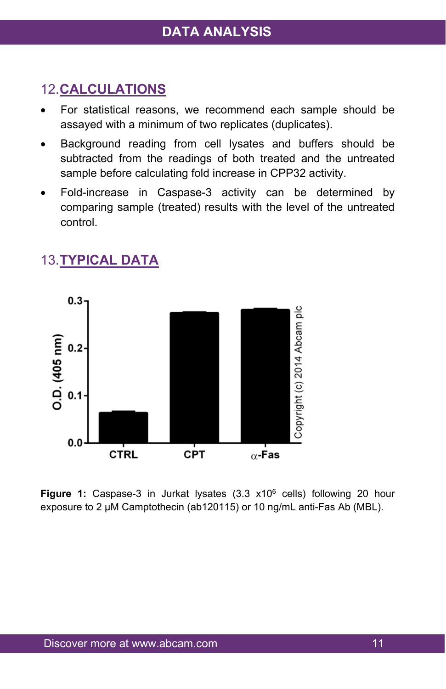## <span id="page-11-0"></span>12.**CALCULATIONS**

- For statistical reasons, we recommend each sample should be assayed with a minimum of two replicates (duplicates).
- Background reading from cell lysates and buffers should be subtracted from the readings of both treated and the untreated sample before calculating fold increase in CPP32 activity.
- Fold-increase in Caspase-3 activity can be determined by comparing sample (treated) results with the level of the untreated control.



### <span id="page-11-1"></span>13.**TYPICAL DATA**

**Figure 1:** Caspase-3 in Jurkat lysates (3.3 x10<sup>6</sup> cells) following 20 hour exposure to 2 µM Camptothecin (ab120115) or 10 ng/mL anti-Fas Ab (MBL).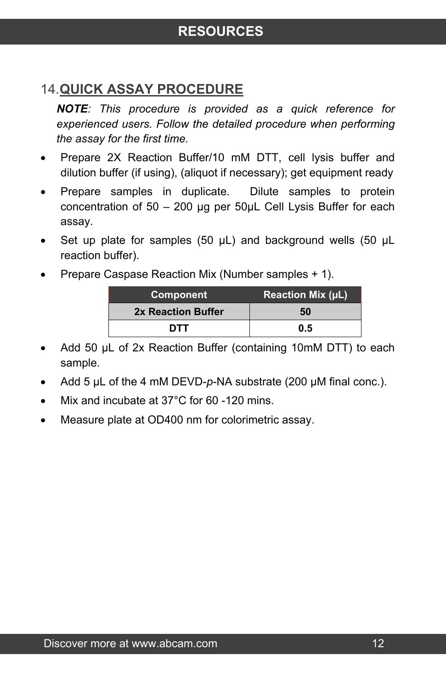## <span id="page-12-0"></span>14.**QUICK ASSAY PROCEDURE**

*NOTE: This procedure is provided as a quick reference for experienced users. Follow the detailed procedure when performing the assay for the first time.*

- Prepare 2X Reaction Buffer/10 mM DTT, cell lysis buffer and dilution buffer (if using), (aliquot if necessary); get equipment ready
- Prepare samples in duplicate. Dilute samples to protein concentration of 50 – 200 µg per 50µL Cell Lysis Buffer for each assay.
- Set up plate for samples (50  $\mu$ L) and background wells (50  $\mu$ L reaction buffer).
- Prepare Caspase Reaction Mix (Number samples + 1).

| <b>Component</b>   | <b>Reaction Mix (uL)</b> |
|--------------------|--------------------------|
| 2x Reaction Buffer | 50                       |
| דדח                | 0.5                      |

- Add 50 µL of 2x Reaction Buffer (containing 10mM DTT) to each sample.
- Add 5 µL of the 4 mM DEVD-p-NA substrate (200 µM final conc.).
- Mix and incubate at 37°C for 60 -120 mins.
- Measure plate at OD400 nm for colorimetric assay.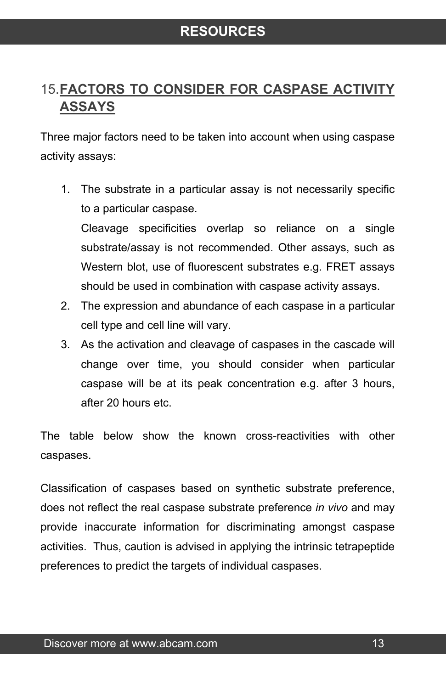## <span id="page-13-0"></span>15.**FACTORS TO CONSIDER FOR CASPASE ACTIVITY ASSAYS**

Three major factors need to be taken into account when using caspase activity assays:

1. The substrate in a particular assay is not necessarily specific to a particular caspase.

Cleavage specificities overlap so reliance on a single substrate/assay is not recommended. Other assays, such as Western blot, use of fluorescent substrates e.g. FRET assays should be used in combination with caspase activity assays.

- 2. The expression and abundance of each caspase in a particular cell type and cell line will vary.
- 3. As the activation and cleavage of caspases in the cascade will change over time, you should consider when particular caspase will be at its peak concentration e.g. after 3 hours, after 20 hours etc.

The table below show the known cross-reactivities with other caspases.

Classification of caspases based on synthetic substrate preference, does not reflect the real caspase substrate preference *in vivo* and may provide inaccurate information for discriminating amongst caspase activities. Thus, caution is advised in applying the intrinsic tetrapeptide preferences to predict the targets of individual caspases.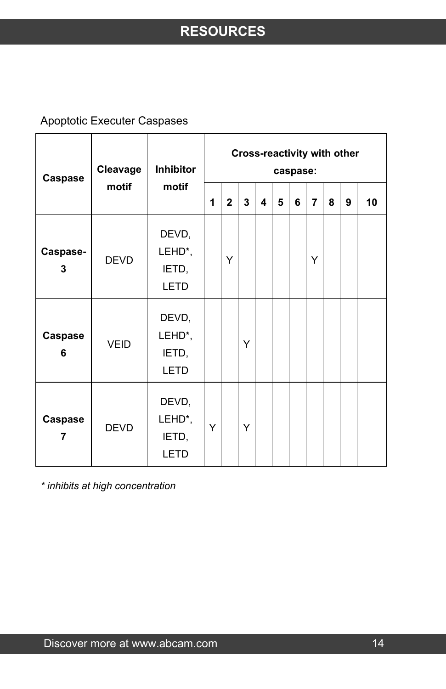Apoptotic Executer Caspases

| Caspase             | Cleavage<br>motif | Inhibitor<br>motif                      | Cross-reactivity with other<br>caspase: |              |   |   |   |   |                |   |   |    |
|---------------------|-------------------|-----------------------------------------|-----------------------------------------|--------------|---|---|---|---|----------------|---|---|----|
|                     |                   |                                         | 1                                       | $\mathbf{2}$ | 3 | 4 | 5 | 6 | $\overline{7}$ | 8 | 9 | 10 |
| Caspase-<br>3       | <b>DEVD</b>       | DEVD,<br>LEHD*,<br>IETD,<br><b>LETD</b> |                                         | Y            |   |   |   |   | Y              |   |   |    |
| <b>Caspase</b><br>6 | <b>VEID</b>       | DEVD,<br>LEHD*,<br>IETD,<br>LETD        |                                         |              | Y |   |   |   |                |   |   |    |
| Caspase<br>7        | <b>DEVD</b>       | DEVD,<br>LEHD*,<br>IETD,<br>LETD        | Y                                       |              | Y |   |   |   |                |   |   |    |

*\* inhibits at high concentration*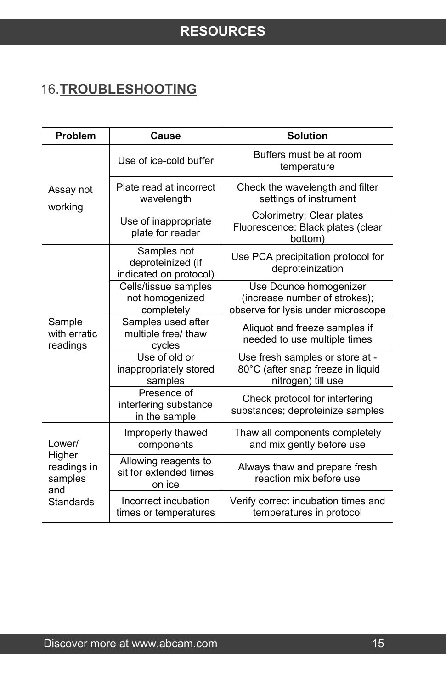## <span id="page-15-0"></span>16.**TROUBLESHOOTING**

| Problem                                 | Cause                                                      | <b>Solution</b>                                                                               |  |  |  |  |
|-----------------------------------------|------------------------------------------------------------|-----------------------------------------------------------------------------------------------|--|--|--|--|
|                                         | Use of ice-cold buffer                                     | Buffers must be at room<br>temperature                                                        |  |  |  |  |
| Assay not<br>working                    | Plate read at incorrect<br>wavelength                      | Check the wavelength and filter<br>settings of instrument                                     |  |  |  |  |
|                                         | Use of inappropriate<br>plate for reader                   | Colorimetry: Clear plates<br>Fluorescence: Black plates (clear<br>bottom)                     |  |  |  |  |
|                                         | Samples not<br>deproteinized (if<br>indicated on protocol) | Use PCA precipitation protocol for<br>deproteinization                                        |  |  |  |  |
|                                         | Cells/tissue samples<br>not homogenized<br>completely      | Use Dounce homogenizer<br>(increase number of strokes);<br>observe for lysis under microscope |  |  |  |  |
| Sample<br>with erratic<br>readings      | Samples used after<br>multiple free/ thaw<br>cycles        | Aliquot and freeze samples if<br>needed to use multiple times                                 |  |  |  |  |
|                                         | Use of old or<br>inappropriately stored<br>samples         | Use fresh samples or store at -<br>80°C (after snap freeze in liquid<br>nitrogen) till use    |  |  |  |  |
|                                         | Presence of<br>interfering substance<br>in the sample      | Check protocol for interfering<br>substances; deproteinize samples                            |  |  |  |  |
| Lower/                                  | Improperly thawed<br>components                            | Thaw all components completely<br>and mix gently before use                                   |  |  |  |  |
| Higher<br>readings in<br>samples<br>and | Allowing reagents to<br>sit for extended times<br>on ice   | Always thaw and prepare fresh<br>reaction mix before use                                      |  |  |  |  |
| Standards                               | Incorrect incubation<br>times or temperatures              | Verify correct incubation times and<br>temperatures in protocol                               |  |  |  |  |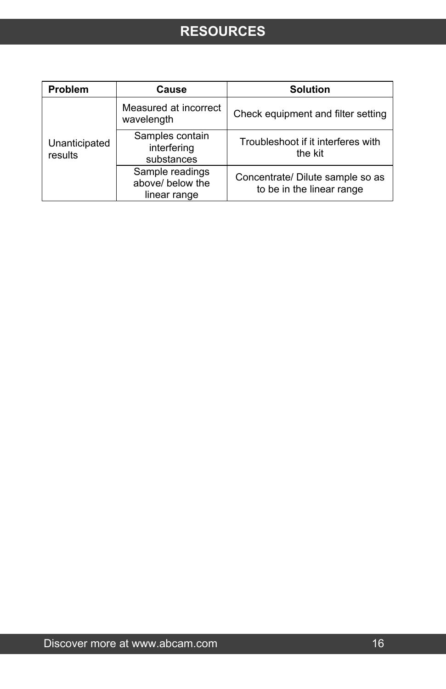## **RESOURCES**

| Problem                  | Cause                                               | <b>Solution</b>                                               |  |  |  |
|--------------------------|-----------------------------------------------------|---------------------------------------------------------------|--|--|--|
|                          | Measured at incorrect<br>wavelength                 | Check equipment and filter setting                            |  |  |  |
| Unanticipated<br>results | Samples contain<br>interfering<br>substances        | Troubleshoot if it interferes with<br>the kit                 |  |  |  |
|                          | Sample readings<br>above/ below the<br>linear range | Concentrate/ Dilute sample so as<br>to be in the linear range |  |  |  |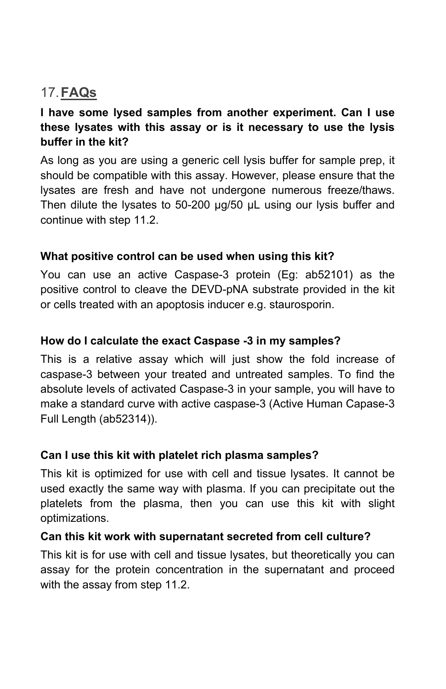## <span id="page-17-0"></span>17.**FAQs**

#### **I have some lysed samples from another experiment. Can I use these lysates with this assay or is it necessary to use the lysis buffer in the kit?**

As long as you are using a generic cell lysis buffer for sample prep, it should be compatible with this assay. However, please ensure that the lysates are fresh and have not undergone numerous freeze/thaws. Then dilute the lysates to 50-200 µg/50 µL using our lysis buffer and continue with step 11.2.

#### **What positive control can be used when using this kit?**

You can use an active Caspase-3 protein (Eg: ab52101) as the positive control to cleave the DEVD-pNA substrate provided in the kit or cells treated with an apoptosis inducer e.g. staurosporin.

#### **How do I calculate the exact Caspase -3 in my samples?**

This is a relative assay which will just show the fold increase of caspase-3 between your treated and untreated samples. To find the absolute levels of activated Caspase-3 in your sample, you will have to make a standard curve with active caspase-3 (Active Human Capase-3 Full Length (ab52314)).

#### **Can I use this kit with platelet rich plasma samples?**

This kit is optimized for use with cell and tissue lysates. It cannot be used exactly the same way with plasma. If you can precipitate out the platelets from the plasma, then you can use this kit with slight optimizations.

#### **Can this kit work with supernatant secreted from cell culture?**

This kit is for use with cell and tissue lysates, but theoretically you can assay for the protein concentration in the supernatant and proceed with the assay from step 11.2.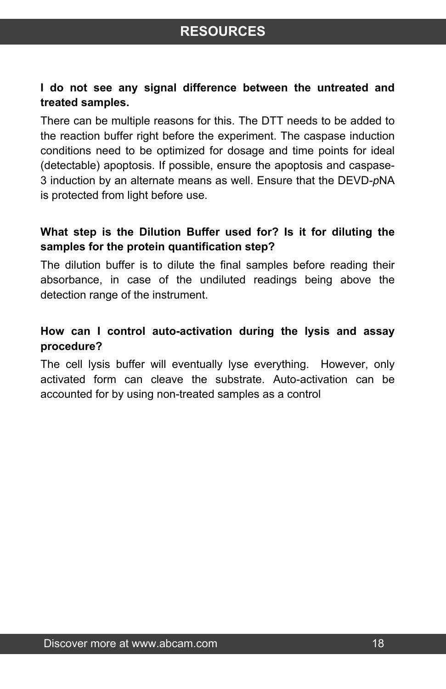## **RESOURCES**

#### **I do not see any signal difference between the untreated and treated samples.**

There can be multiple reasons for this. The DTT needs to be added to the reaction buffer right before the experiment. The caspase induction conditions need to be optimized for dosage and time points for ideal (detectable) apoptosis. If possible, ensure the apoptosis and caspase-3 induction by an alternate means as well. Ensure that the DEVD-*p*NA is protected from light before use.

#### **What step is the Dilution Buffer used for? Is it for diluting the samples for the protein quantification step?**

The dilution buffer is to dilute the final samples before reading their absorbance, in case of the undiluted readings being above the detection range of the instrument.

#### **How can I control auto-activation during the lysis and assay procedure?**

The cell lysis buffer will eventually lyse everything. However, only activated form can cleave the substrate. Auto-activation can be accounted for by using non-treated samples as a control